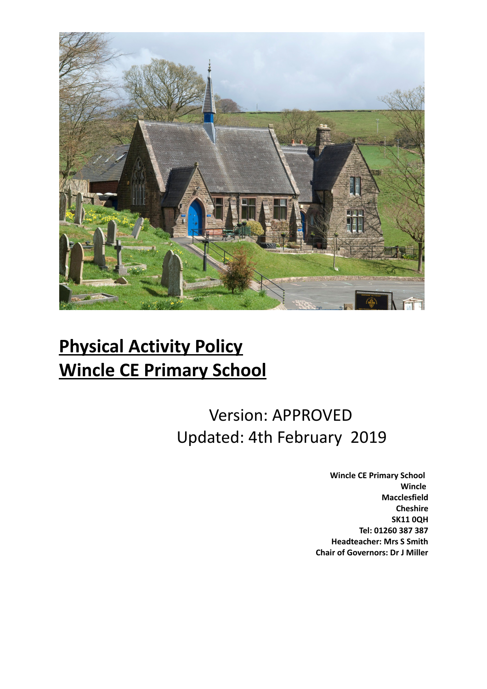

# **Physical Activity Policy Wincle CE Primary School**

## Version: APPROVED Updated: 4th February 2019

 **Wincle CE Primary School Wincle Macclesfield Cheshire SK11 0QH Tel: 01260 387 387 Headteacher: Mrs S Smith Chair of Governors: Dr J Miller**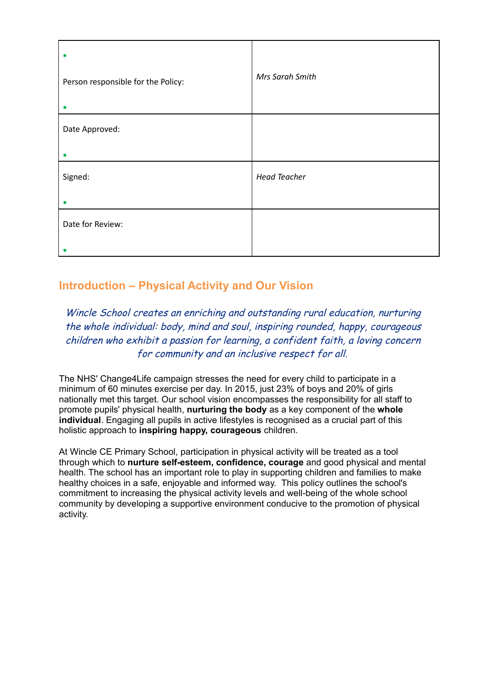| п<br>Person responsible for the Policy:<br>п | Mrs Sarah Smith     |
|----------------------------------------------|---------------------|
| Date Approved:<br>ш                          |                     |
| Signed:<br>ш                                 | <b>Head Teacher</b> |
| Date for Review:<br>ш                        |                     |

### **Introduction – Physical Activity and Our Vision**

### Wincle School creates an enriching and outstanding rural education, nurturing the whole individual: body, mind and soul, inspiring rounded, happy, courageous children who exhibit a passion for learning, a confident faith, a loving concern for community and an inclusive respect for all.

The NHS' Change4Life campaign stresses the need for every child to participate in a minimum of 60 minutes exercise per day. In 2015, just 23% of boys and 20% of girls nationally met this target. Our school vision encompasses the responsibility for all staff to promote pupils' physical health, **nurturing the body** as a key component of the **whole individual**. Engaging all pupils in active lifestyles is recognised as a crucial part of this holistic approach to **inspiring happy, courageous** children.

At Wincle CE Primary School, participation in physical activity will be treated as a tool through which to **nurture self-esteem, confidence, courage** and good physical and mental health. The school has an important role to play in supporting children and families to make healthy choices in a safe, enjoyable and informed way. This policy outlines the school's commitment to increasing the physical activity levels and well-being of the whole school community by developing a supportive environment conducive to the promotion of physical activity.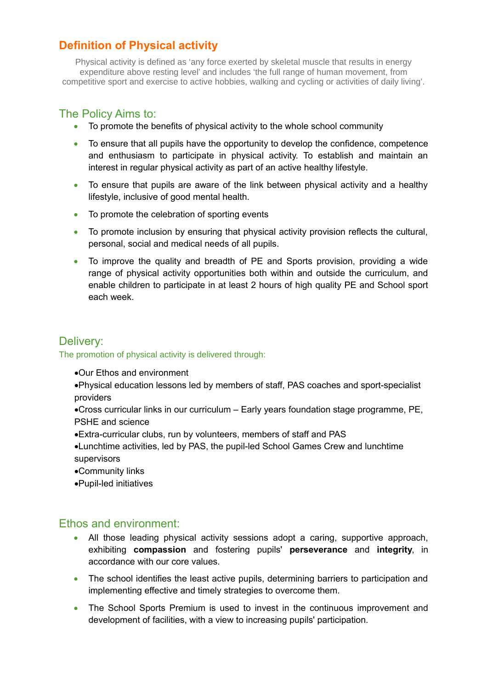## **Definition of Physical activity**

Physical activity is defined as 'any force exerted by skeletal muscle that results in energy expenditure above resting level' and includes 'the full range of human movement, from competitive sport and exercise to active hobbies, walking and cycling or activities of daily living'.

#### The Policy Aims to:

- To promote the benefits of physical activity to the whole school community
- To ensure that all pupils have the opportunity to develop the confidence, competence and enthusiasm to participate in physical activity. To establish and maintain an interest in regular physical activity as part of an active healthy lifestyle.
- To ensure that pupils are aware of the link between physical activity and a healthy lifestyle, inclusive of good mental health.
- To promote the celebration of sporting events
- To promote inclusion by ensuring that physical activity provision reflects the cultural, personal, social and medical needs of all pupils.
- To improve the quality and breadth of PE and Sports provision, providing a wide range of physical activity opportunities both within and outside the curriculum, and enable children to participate in at least 2 hours of high quality PE and School sport each week.

### Delivery:

The promotion of physical activity is delivered through:

- Our Ethos and environment
- Physical education lessons led by members of staff, PAS coaches and sport-specialist providers
- Cross curricular links in our curriculum Early years foundation stage programme, PE, PSHE and science
- Extra-curricular clubs, run by volunteers, members of staff and PAS
- Lunchtime activities, led by PAS, the pupil-led School Games Crew and lunchtime supervisors
- Community links
- Pupil-led initiatives

#### Ethos and environment:

- All those leading physical activity sessions adopt a caring, supportive approach, exhibiting **compassion** and fostering pupils' **perseverance** and **integrity**, in accordance with our core values.
- The school identifies the least active pupils, determining barriers to participation and implementing effective and timely strategies to overcome them.
- The School Sports Premium is used to invest in the continuous improvement and development of facilities, with a view to increasing pupils' participation.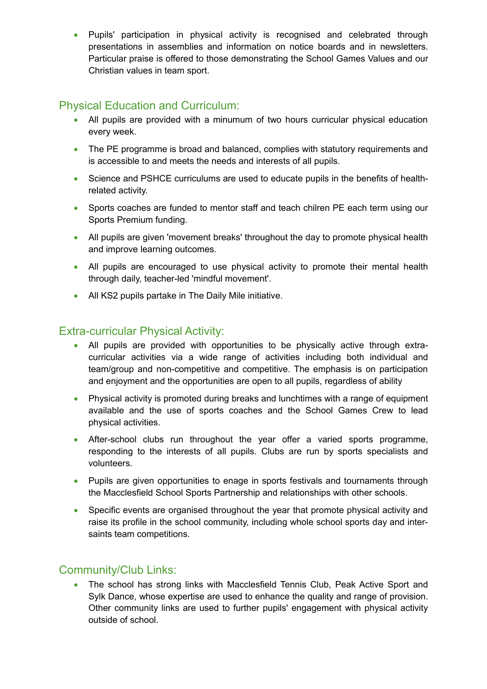Pupils' participation in physical activity is recognised and celebrated through presentations in assemblies and information on notice boards and in newsletters. Particular praise is offered to those demonstrating the School Games Values and our Christian values in team sport.

## Physical Education and Curriculum:

- All pupils are provided with a minumum of two hours curricular physical education every week.
- The PE programme is broad and balanced, complies with statutory requirements and is accessible to and meets the needs and interests of all pupils.
- Science and PSHCE curriculums are used to educate pupils in the benefits of healthrelated activity.
- Sports coaches are funded to mentor staff and teach chilren PE each term using our Sports Premium funding.
- All pupils are given 'movement breaks' throughout the day to promote physical health and improve learning outcomes.
- All pupils are encouraged to use physical activity to promote their mental health through daily, teacher-led 'mindful movement'.
- All KS2 pupils partake in The Daily Mile initiative.

#### Extra-curricular Physical Activity:

- All pupils are provided with opportunities to be physically active through extracurricular activities via a wide range of activities including both individual and team/group and non-competitive and competitive. The emphasis is on participation and enjoyment and the opportunities are open to all pupils, regardless of ability
- Physical activity is promoted during breaks and lunchtimes with a range of equipment available and the use of sports coaches and the School Games Crew to lead physical activities.
- After-school clubs run throughout the year offer a varied sports programme, responding to the interests of all pupils. Clubs are run by sports specialists and volunteers.
- Pupils are given opportunities to enage in sports festivals and tournaments through the Macclesfield School Sports Partnership and relationships with other schools.
- Specific events are organised throughout the year that promote physical activity and raise its profile in the school community, including whole school sports day and intersaints team competitions.

## Community/Club Links:

• The school has strong links with Macclesfield Tennis Club, Peak Active Sport and Sylk Dance, whose expertise are used to enhance the quality and range of provision. Other community links are used to further pupils' engagement with physical activity outside of school.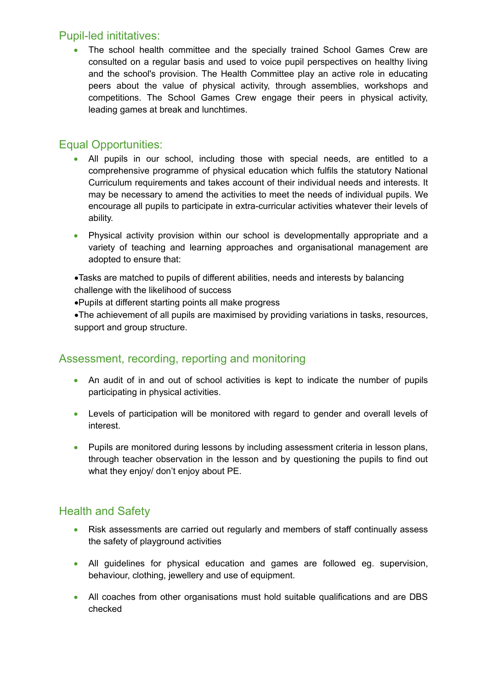#### Pupil-led inititatives:

• The school health committee and the specially trained School Games Crew are consulted on a regular basis and used to voice pupil perspectives on healthy living and the school's provision. The Health Committee play an active role in educating peers about the value of physical activity, through assemblies, workshops and competitions. The School Games Crew engage their peers in physical activity, leading games at break and lunchtimes.

## Equal Opportunities:

- All pupils in our school, including those with special needs, are entitled to a comprehensive programme of physical education which fulfils the statutory National Curriculum requirements and takes account of their individual needs and interests. It may be necessary to amend the activities to meet the needs of individual pupils. We encourage all pupils to participate in extra-curricular activities whatever their levels of ability.
- Physical activity provision within our school is developmentally appropriate and a variety of teaching and learning approaches and organisational management are adopted to ensure that:

Tasks are matched to pupils of different abilities, needs and interests by balancing challenge with the likelihood of success

Pupils at different starting points all make progress

The achievement of all pupils are maximised by providing variations in tasks, resources, support and group structure.

## Assessment, recording, reporting and monitoring

- An audit of in and out of school activities is kept to indicate the number of pupils participating in physical activities.
- Levels of participation will be monitored with regard to gender and overall levels of interest.
- Pupils are monitored during lessons by including assessment criteria in lesson plans, through teacher observation in the lesson and by questioning the pupils to find out what they enjoy/ don't enjoy about PE.

## Health and Safety

- Risk assessments are carried out regularly and members of staff continually assess the safety of playground activities
- All guidelines for physical education and games are followed eg. supervision, behaviour, clothing, jewellery and use of equipment.
- All coaches from other organisations must hold suitable qualifications and are DBS checked